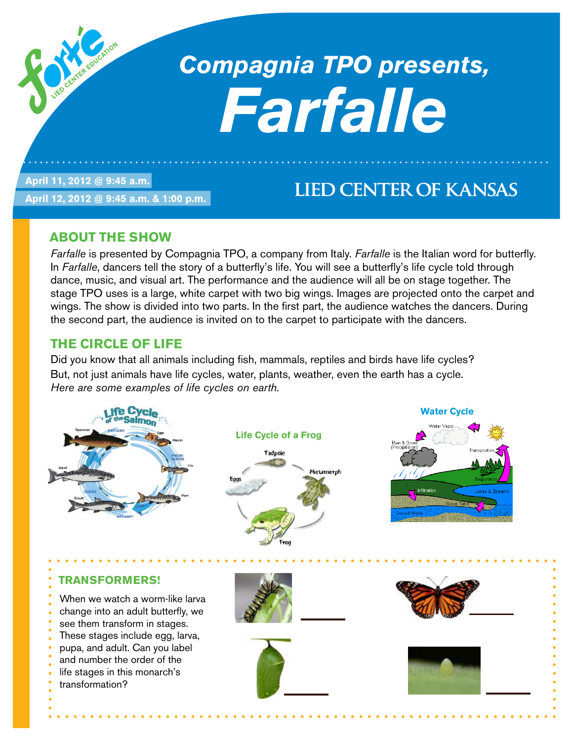## *Compagnia TPO presents, Farfalle*

**April 11, 2012 @ 9:45 a.m.** 

**April 12, 2012 @ 9:45 a.m. & 1:00 p.m.**

### **LIED CENTER OF KANSAS**

#### **About the Show**

*Farfalle* is presented by Compagnia TPO, a company from Italy. *Farfalle* is the Italian word for butterfly. In *Farfalle*, dancers tell the story of a butterfly's life. You will see a butterfly's life cycle told through dance, music, and visual art. The performance and the audience will all be on stage together. The stage TPO uses is a large, white carpet with two big wings. Images are projected onto the carpet and wings. The show is divided into two parts. In the first part, the audience watches the dancers. During the second part, the audience is invited on to the carpet to participate with the dancers.

#### **The CIRCLE OF LIFE**

Did you know that all animals including fish, mammals, reptiles and birds have life cycles? But, not just animals have life cycles, water, plants, weather, even the earth has a cycle. *Here are some examples of life cycles on earth.*